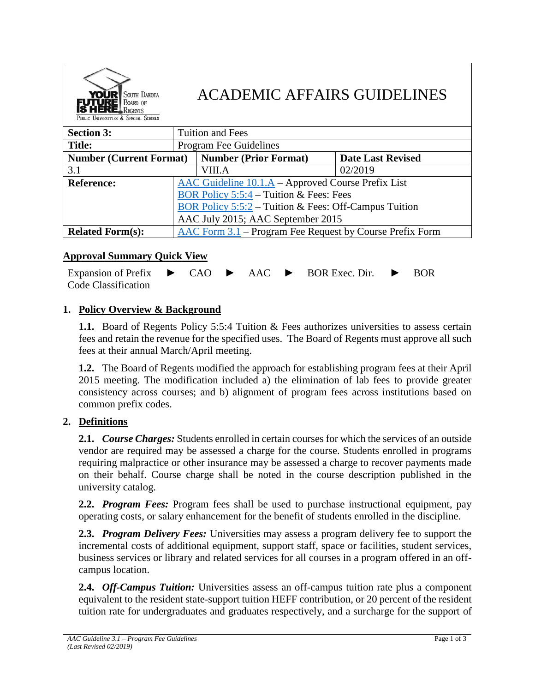| <b>YOUR</b> SOUTH DAKOTA<br><b>FUTURE</b> BOARD OF<br>PUBLIC UNIVERSITIES & SPECIAL SCHOOLS | <b>ACADEMIC AFFAIRS GUIDELINES</b>                                           |                              |                          |
|---------------------------------------------------------------------------------------------|------------------------------------------------------------------------------|------------------------------|--------------------------|
| <b>Section 3:</b>                                                                           | <b>Tuition and Fees</b>                                                      |                              |                          |
| <b>Title:</b>                                                                               | Program Fee Guidelines                                                       |                              |                          |
| <b>Number (Current Format)</b>                                                              |                                                                              | <b>Number (Prior Format)</b> | <b>Date Last Revised</b> |
| 3.1                                                                                         |                                                                              | VIII.A                       | 02/2019                  |
| <b>Reference:</b>                                                                           | AAC Guideline 10.1.A – Approved Course Prefix List                           |                              |                          |
|                                                                                             | BOR Policy 5:5:4 – Tuition & Fees: Fees                                      |                              |                          |
|                                                                                             | BOR Policy $5:5:2$ – Tuition & Fees: Off-Campus Tuition                      |                              |                          |
|                                                                                             | AAC July 2015; AAC September 2015                                            |                              |                          |
| <b>Related Form(s):</b>                                                                     | $\overline{\text{AAC Form 3.1}}$ – Program Fee Request by Course Prefix Form |                              |                          |

# **Approval Summary Quick View**

Expansion of Prefix Code Classification  $CAO \rightarrow AAC \rightarrow BOR$  Exec. Dir.  $\rightarrow BOR$ 

### **1. Policy Overview & Background**

**1.1.** Board of Regents Policy 5:5:4 Tuition & Fees authorizes universities to assess certain fees and retain the revenue for the specified uses. The Board of Regents must approve all such fees at their annual March/April meeting.

**1.2.** The Board of Regents modified the approach for establishing program fees at their April 2015 meeting. The modification included a) the elimination of lab fees to provide greater consistency across courses; and b) alignment of program fees across institutions based on common prefix codes.

### **2. Definitions**

**2.1.** *Course Charges:* Students enrolled in certain courses for which the services of an outside vendor are required may be assessed a charge for the course. Students enrolled in programs requiring malpractice or other insurance may be assessed a charge to recover payments made on their behalf. Course charge shall be noted in the course description published in the university catalog.

**2.2.** *Program Fees:* Program fees shall be used to purchase instructional equipment, pay operating costs, or salary enhancement for the benefit of students enrolled in the discipline.

**2.3.** *Program Delivery Fees:* Universities may assess a program delivery fee to support the incremental costs of additional equipment, support staff, space or facilities, student services, business services or library and related services for all courses in a program offered in an offcampus location.

**2.4.** *Off-Campus Tuition:* Universities assess an off-campus tuition rate plus a component equivalent to the resident state-support tuition HEFF contribution, or 20 percent of the resident tuition rate for undergraduates and graduates respectively, and a surcharge for the support of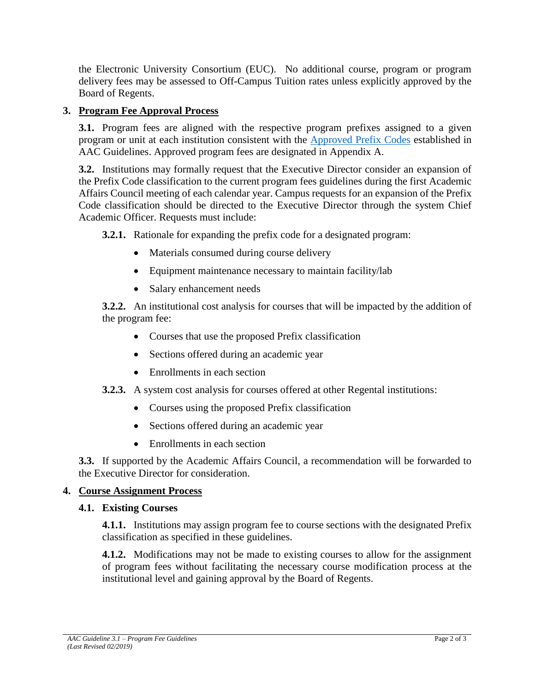the Electronic University Consortium (EUC). No additional course, program or program delivery fees may be assessed to Off-Campus Tuition rates unless explicitly approved by the Board of Regents.

# **3. Program Fee Approval Process**

**3.1.** Program fees are aligned with the respective program prefixes assigned to a given program or unit at each institution consistent with the [Approved Prefix Codes](https://www.sdbor.edu/services/academics/AAC/documents/VII_Course_Prefix_List.pdf) established in AAC Guidelines. Approved program fees are designated in Appendix A.

**3.2.** Institutions may formally request that the Executive Director consider an expansion of the Prefix Code classification to the current program fees guidelines during the first Academic Affairs Council meeting of each calendar year. Campus requests for an expansion of the Prefix Code classification should be directed to the Executive Director through the system Chief Academic Officer. Requests must include:

**3.2.1.** Rationale for expanding the prefix code for a designated program:

- Materials consumed during course delivery
- Equipment maintenance necessary to maintain facility/lab
- Salary enhancement needs

**3.2.2.** An institutional cost analysis for courses that will be impacted by the addition of the program fee:

- Courses that use the proposed Prefix classification
- Sections offered during an academic year
- Enrollments in each section
- **3.2.3.** A system cost analysis for courses offered at other Regental institutions:
	- Courses using the proposed Prefix classification
	- Sections offered during an academic year
	- Enrollments in each section

**3.3.** If supported by the Academic Affairs Council, a recommendation will be forwarded to the Executive Director for consideration.

### **4. Course Assignment Process**

### **4.1. Existing Courses**

**4.1.1.** Institutions may assign program fee to course sections with the designated Prefix classification as specified in these guidelines.

**4.1.2.** Modifications may not be made to existing courses to allow for the assignment of program fees without facilitating the necessary course modification process at the institutional level and gaining approval by the Board of Regents.